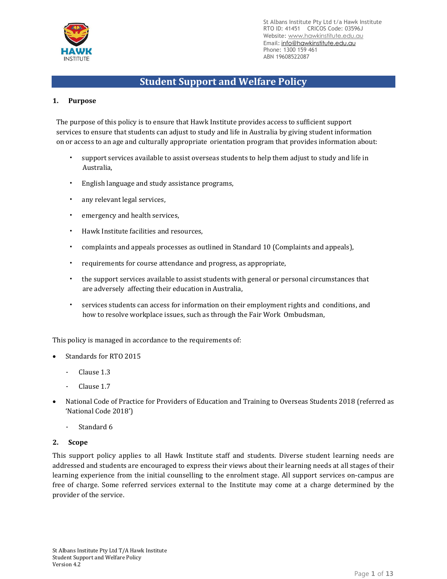

# **Student Support and Welfare Policy**

# **1. Purpose**

The purpose of this policy is to ensure that Hawk Institute provides access to sufficient support services to ensure that students can adjust to study and life in Australia by giving student information on or access to an age and culturally appropriate orientation program that provides information about:

- support services available to assist overseas students to help them adjust to study and life in Australia,
- English language and study assistance programs,
- any relevant legal services,
- emergency and health services.
- Hawk Institute facilities and resources,
- complaints and appeals processes as outlined in Standard 10 (Complaints and appeals),
- requirements for course attendance and progress, as appropriate,
- the support services available to assist students with general or personal circumstances that are adversely affecting their education in Australia,
- services students can access for information on their employment rights and conditions, and how to resolve workplace issues, such as through the Fair Work Ombudsman,

This policy is managed in accordance to the requirements of:

- Standards for RTO 2015
	- Clause 1.3
	- Clause 1.7
- National Code of Practice for Providers of Education and Training to Overseas Students 2018 (referred as 'National Code 2018')
	- Standard 6

#### **2. Scope**

This support policy applies to all Hawk Institute staff and students. Diverse student learning needs are addressed and students are encouraged to express their views about their learning needs at all stages of their learning experience from the initial counselling to the enrolment stage. All support services on-campus are free of charge. Some referred services external to the Institute may come at a charge determined by the provider of the service.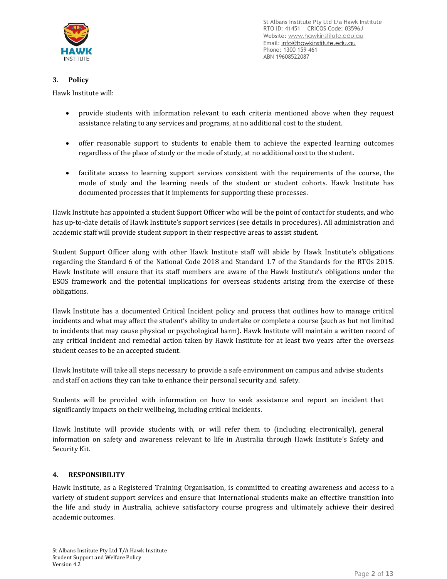

# **3. Policy**

Hawk Institute will:

- provide students with information relevant to each criteria mentioned above when they request assistance relating to any services and programs, at no additional cost to the student.
- offer reasonable support to students to enable them to achieve the expected learning outcomes regardless of the place of study or the mode of study, at no additional cost to the student.
- facilitate access to learning support services consistent with the requirements of the course, the mode of study and the learning needs of the student or student cohorts. Hawk Institute has documented processes that it implements for supporting these processes.

Hawk Institute has appointed a student Support Officer who will be the point of contact for students, and who has up-to-date details of Hawk Institute's support services (see details in procedures). All administration and academic staff will provide student support in their respective areas to assist student.

Student Support Officer along with other Hawk Institute staff will abide by Hawk Institute's obligations regarding the Standard 6 of the National Code 2018 and Standard 1.7 of the Standards for the RTOs 2015. Hawk Institute will ensure that its staff members are aware of the Hawk Institute's obligations under the ESOS framework and the potential implications for overseas students arising from the exercise of these obligations.

Hawk Institute has a documented Critical Incident policy and process that outlines how to manage critical incidents and what may affect the student's ability to undertake or complete a course (such as but not limited to incidents that may cause physical or psychological harm). Hawk Institute will maintain a written record of any critical incident and remedial action taken by Hawk Institute for at least two years after the overseas student ceases to be an accepted student.

Hawk Institute will take all steps necessary to provide a safe environment on campus and advise students and staff on actions they can take to enhance their personal security and safety.

Students will be provided with information on how to seek assistance and report an incident that significantly impacts on their wellbeing, including critical incidents.

Hawk Institute will provide students with, or will refer them to (including electronically), general information on safety and awareness relevant to life in Australia through Hawk Institute's Safety and Security Kit.

# **4. RESPONSIBILITY**

Hawk Institute, as a Registered Training Organisation, is committed to creating awareness and access to a variety of student support services and ensure that International students make an effective transition into the life and study in Australia, achieve satisfactory course progress and ultimately achieve their desired academic outcomes.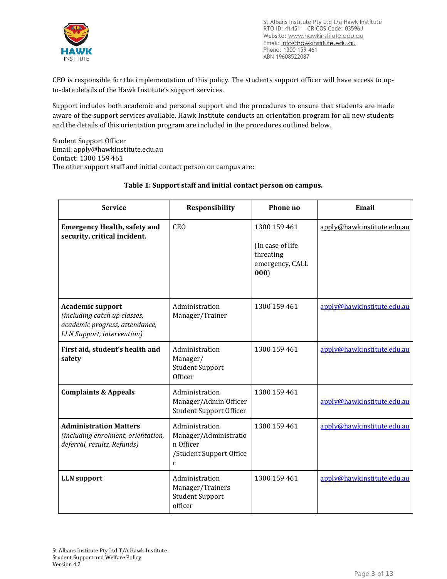

CEO is responsible for the implementation of this policy. The students support officer will have access to upto-date details of the Hawk Institute's support services.

Support includes both academic and personal support and the procedures to ensure that students are made aware of the support services available. Hawk Institute conducts an orientation program for all new students and the details of this orientation program are included in the procedures outlined below.

Student Support Officer Email: apply@hawkinstitute.edu.au Contact: 1300 159 461 The other support staff and initial contact person on campus are:

| <b>Service</b>                                                                                                          | <b>Responsibility</b>                                                                | Phone no                                                                 | Email                      |
|-------------------------------------------------------------------------------------------------------------------------|--------------------------------------------------------------------------------------|--------------------------------------------------------------------------|----------------------------|
| <b>Emergency Health, safety and</b><br>security, critical incident.                                                     | <b>CEO</b>                                                                           | 1300 159 461<br>(In case of life<br>threating<br>emergency, CALL<br>000) | apply@hawkinstitute.edu.au |
| <b>Academic support</b><br>(including catch up classes,<br>academic progress, attendance,<br>LLN Support, intervention) | Administration<br>Manager/Trainer                                                    | 1300 159 461                                                             | apply@hawkinstitute.edu.au |
| First aid, student's health and<br>safety                                                                               | Administration<br>Manager/<br><b>Student Support</b><br>Officer                      | 1300 159 461                                                             | apply@hawkinstitute.edu.au |
| <b>Complaints &amp; Appeals</b>                                                                                         | Administration<br>Manager/Admin Officer<br><b>Student Support Officer</b>            | 1300 159 461                                                             | apply@hawkinstitute.edu.au |
| <b>Administration Matters</b><br>(including enrolment, orientation,<br>deferral, results, Refunds)                      | Administration<br>Manager/Administratio<br>n Officer<br>/Student Support Office<br>r | 1300 159 461                                                             | apply@hawkinstitute.edu.au |
| <b>LLN</b> support                                                                                                      | Administration<br>Manager/Trainers<br><b>Student Support</b><br>officer              | 1300 159 461                                                             | apply@hawkinstitute.edu.au |

# **Table 1: Support staff and initial contact person on campus.**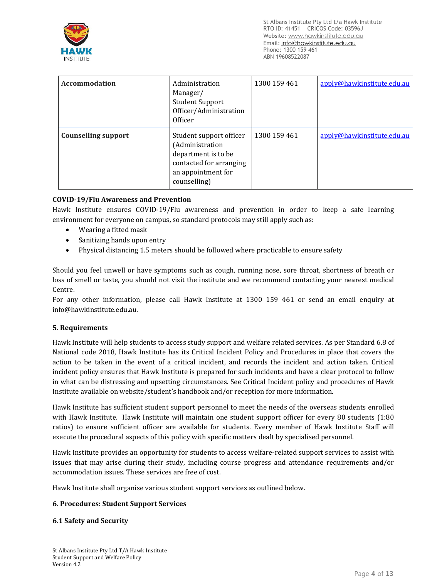

| Accommodation              | Administration<br>Manager/<br><b>Student Support</b><br>Officer/Administration<br>Officer                                          | 1300 159 461 | apply@hawkinstitute.edu.au |
|----------------------------|------------------------------------------------------------------------------------------------------------------------------------|--------------|----------------------------|
| <b>Counselling support</b> | Student support officer<br>(Administration<br>department is to be<br>contacted for arranging<br>an appointment for<br>counselling) | 1300 159 461 | apply@hawkinstitute.edu.au |

## **COVID-19/Flu Awareness and Prevention**

Hawk Institute ensures COVID-19/Flu awareness and prevention in order to keep a safe learning environment for everyone on campus, so standard protocols may still apply such as:

- Wearing a fitted mask
- Sanitizing hands upon entry
- Physical distancing 1.5 meters should be followed where practicable to ensure safety

Should you feel unwell or have symptoms such as cough, running nose, sore throat, shortness of breath or loss of smell or taste, you should not visit the institute and we recommend contacting your nearest medical Centre.

For any other information, please call Hawk Institute at 1300 159 461 or send an email enquiry at [info@hawkinstitute.edu.au.](mailto:info@hawkinstitute.edu.au)

#### **5. Requirements**

Hawk Institute will help students to access study support and welfare related services. As per Standard 6.8 of National code 2018, Hawk Institute has its Critical Incident Policy and Procedures in place that covers the action to be taken in the event of a critical incident, and records the incident and action taken. Critical incident policy ensures that Hawk Institute is prepared for such incidents and have a clear protocol to follow in what can be distressing and upsetting circumstances. See Critical Incident policy and procedures of Hawk Institute available on website/student's handbook and/or reception for more information.

Hawk Institute has sufficient student support personnel to meet the needs of the overseas students enrolled with Hawk Institute. Hawk Institute will maintain one student support officer for every 80 students (1:80 ratios) to ensure sufficient officer are available for students. Every member of Hawk Institute Staff will execute the procedural aspects of this policy with specific matters dealt by specialised personnel.

Hawk Institute provides an opportunity for students to access welfare-related support services to assist with issues that may arise during their study, including course progress and attendance requirements and/or accommodation issues. These services are free of cost.

Hawk Institute shall organise various student support services as outlined below.

#### **6. Procedures: Student Support Services**

#### **6.1 Safety and Security**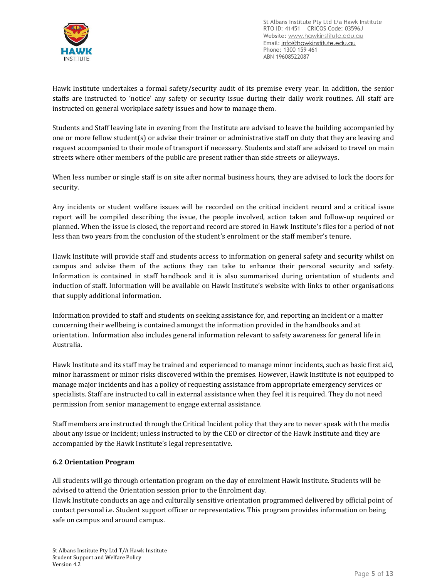

Hawk Institute undertakes a formal safety/security audit of its premise every year. In addition, the senior staffs are instructed to 'notice' any safety or security issue during their daily work routines. All staff are instructed on general workplace safety issues and how to manage them.

Students and Staff leaving late in evening from the Institute are advised to leave the building accompanied by one or more fellow student(s) or advise their trainer or administrative staff on duty that they are leaving and request accompanied to their mode of transport if necessary. Students and staff are advised to travel on main streets where other members of the public are present rather than side streets or alleyways.

When less number or single staff is on site after normal business hours, they are advised to lock the doors for security.

Any incidents or student welfare issues will be recorded on the critical incident record and a critical issue report will be compiled describing the issue, the people involved, action taken and follow-up required or planned. When the issue is closed, the report and record are stored in Hawk Institute's files for a period of not less than two years from the conclusion of the student's enrolment or the staff member's tenure.

Hawk Institute will provide staff and students access to information on general safety and security whilst on campus and advise them of the actions they can take to enhance their personal security and safety. Information is contained in staff handbook and it is also summarised during orientation of students and induction of staff. Information will be available on Hawk Institute's website with links to other organisations that supply additional information.

Information provided to staff and students on seeking assistance for, and reporting an incident or a matter concerning their wellbeing is contained amongst the information provided in the handbooks and at orientation. Information also includes general information relevant to safety awareness for general life in Australia.

Hawk Institute and its staff may be trained and experienced to manage minor incidents, such as basic first aid, minor harassment or minor risks discovered within the premises. However, Hawk Institute is not equipped to manage major incidents and has a policy of requesting assistance from appropriate emergency services or specialists. Staff are instructed to call in external assistance when they feel it is required. They do not need permission from senior management to engage external assistance.

Staff members are instructed through the Critical Incident policy that they are to never speak with the media about any issue or incident; unless instructed to by the CEO or director of the Hawk Institute and they are accompanied by the Hawk Institute's legal representative.

# **6.2 Orientation Program**

All students will go through orientation program on the day of enrolment Hawk Institute. Students will be advised to attend the Orientation session prior to the Enrolment day.

Hawk Institute conducts an age and culturally sensitive orientation programmed delivered by official point of contact personal i.e. Student support officer or representative. This program provides information on being safe on campus and around campus.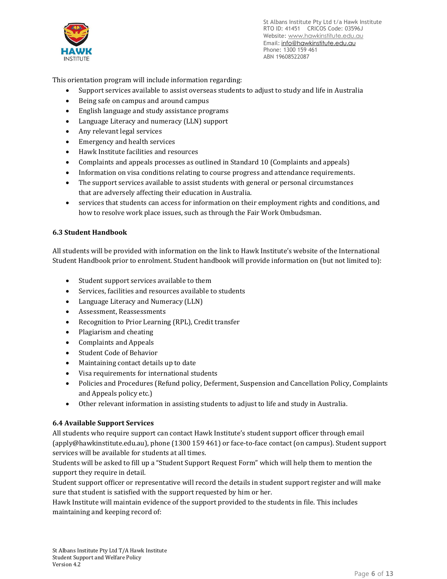

This orientation program will include information regarding:

- Support services available to assist overseas students to adjust to study and life in Australia
- Being safe on campus and around campus
- English language and study assistance programs
- Language Literacy and numeracy (LLN) support
- Any relevant legal services
- Emergency and health services
- Hawk Institute facilities and resources
- Complaints and appeals processes as outlined in Standard 10 (Complaints and appeals)
- Information on visa conditions relating to course progress and attendance requirements.
- The support services available to assist students with general or personal circumstances that are adversely affecting their education in Australia.
- services that students can access for information on their employment rights and conditions, and how to resolve work place issues, such as through the Fair Work Ombudsman.

# **6.3 Student Handbook**

All students will be provided with information on the link to Hawk Institute's website of the International Student Handbook prior to enrolment. Student handbook will provide information on (but not limited to):

- Student support services available to them
- Services, facilities and resources available to students
- Language Literacy and Numeracy (LLN)
- Assessment, Reassessments
- Recognition to Prior Learning (RPL), Credit transfer
- Plagiarism and cheating
- Complaints and Appeals
- Student Code of Behavior
- Maintaining contact details up to date
- Visa requirements for international students
- Policies and Procedures (Refund policy, Deferment, Suspension and Cancellation Policy, Complaints and Appeals policy etc.)
- Other relevant information in assisting students to adjust to life and study in Australia.

#### **6.4 Available Support Services**

All students who require support can contact Hawk Institute's student support officer through email (apply@hawkinstitute.edu.au), phone (1300 159 461) or face-to-face contact (on campus). Student support services will be available for students at all times.

Students will be asked to fill up a "Student Support Request Form" which will help them to mention the support they require in detail.

Student support officer or representative will record the details in student support register and will make sure that student is satisfied with the support requested by him or her.

Hawk Institute will maintain evidence of the support provided to the students in file. This includes maintaining and keeping record of: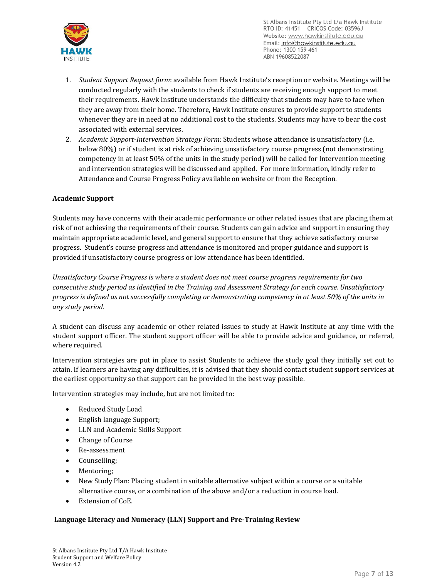

- 1. *Student Support Request form*: available from Hawk Institute's reception or website. Meetings will be conducted regularly with the students to check if students are receiving enough support to meet their requirements. Hawk Institute understands the difficulty that students may have to face when they are away from their home. Therefore, Hawk Institute ensures to provide support to students whenever they are in need at no additional cost to the students. Students may have to bear the cost associated with external services.
- 2. *Academic Support-Intervention Strategy Form*: Students whose attendance is unsatisfactory (i.e. below 80%) or if student is at risk of achieving unsatisfactory course progress (not demonstrating competency in at least 50% of the units in the study period) will be called for Intervention meeting and intervention strategies will be discussed and applied. For more information, kindly refer to Attendance and Course Progress Policy available on website or from the Reception.

# **Academic Support**

Students may have concerns with their academic performance or other related issues that are placing them at risk of not achieving the requirements of their course. Students can gain advice and support in ensuring they maintain appropriate academic level, and general support to ensure that they achieve satisfactory course progress. Student's course progress and attendance is monitored and proper guidance and support is provided if unsatisfactory course progress or low attendance has been identified.

*Unsatisfactory Course Progress is where a student does not meet course progress requirements for two consecutive study period as identified in the Training and Assessment Strategy for each course. Unsatisfactory* progress is defined as not successfully completing or demonstrating competency in at least 50% of the units in *any study period.* 

A student can discuss any academic or other related issues to study at Hawk Institute at any time with the student support officer. The student support officer will be able to provide advice and guidance, or referral, where required.

Intervention strategies are put in place to assist Students to achieve the study goal they initially set out to attain. If learners are having any difficulties, it is advised that they should contact student support services at the earliest opportunity so that support can be provided in the best way possible.

Intervention strategies may include, but are not limited to:

- Reduced Study Load
- English language Support;
- LLN and Academic Skills Support
- Change of Course
- Re-assessment
- Counselling;
- Mentoring;
- New Study Plan: Placing student in suitable alternative subject within a course or a suitable alternative course, or a combination of the above and/or a reduction in course load.
- Extension of CoE.

## **Language Literacy and Numeracy (LLN) Support and Pre-Training Review**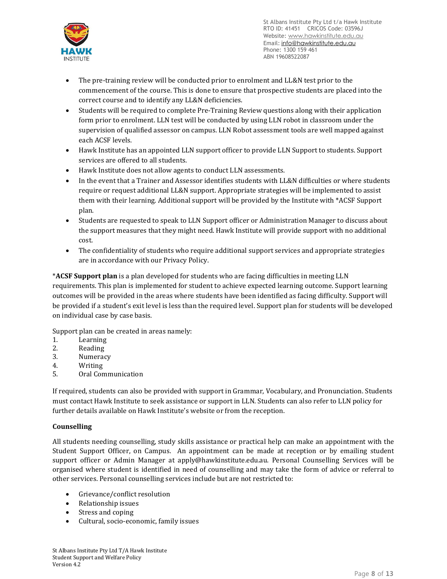

- The pre-training review will be conducted prior to enrolment and LL&N test prior to the commencement of the course. This is done to ensure that prospective students are placed into the correct course and to identify any LL&N deficiencies.
- Students will be required to complete Pre-Training Review questions along with their application form prior to enrolment. LLN test will be conducted by using LLN robot in classroom under the supervision of qualified assessor on campus. LLN Robot assessment tools are well mapped against each ACSF levels.
- Hawk Institute has an appointed LLN support officer to provide LLN Support to students. Support services are offered to all students.
- Hawk Institute does not allow agents to conduct LLN assessments.
- In the event that a Trainer and Assessor identifies students with LL&N difficulties or where students require or request additional LL&N support. Appropriate strategies will be implemented to assist them with their learning. Additional support will be provided by the Institute with \*ACSF Support plan.
- Students are requested to speak to LLN Support officer or Administration Manager to discuss about the support measures that they might need. Hawk Institute will provide support with no additional cost.
- The confidentiality of students who require additional support services and appropriate strategies are in accordance with our Privacy Policy.

\***ACSF Support plan** is a plan developed for students who are facing difficulties in meeting LLN requirements. This plan is implemented for student to achieve expected learning outcome. Support learning outcomes will be provided in the areas where students have been identified as facing difficulty. Support will be provided if a student's exit level is less than the required level. Support plan for students will be developed on individual case by case basis.

Support plan can be created in areas namely:

- 1. Learning
- 2. Reading
- 3. Numeracy
- 4. Writing
- 5. Oral Communication

If required, students can also be provided with support in Grammar, Vocabulary, and Pronunciation. Students must contact Hawk Institute to seek assistance or support in LLN. Students can also refer to LLN policy for further details available on Hawk Institute's website or from the reception.

# **Counselling**

All students needing counselling, study skills assistance or practical help can make an appointment with the Student Support Officer, on Campus. An appointment can be made at reception or by emailing student support officer or Admin Manager at apply@hawkinstitute.edu.au. Personal Counselling Services will be organised where student is identified in need of counselling and may take the form of advice or referral to other services. Personal counselling services include but are not restricted to:

- Grievance/conflict resolution
- Relationship issues
- Stress and coping
- Cultural, socio-economic, family issues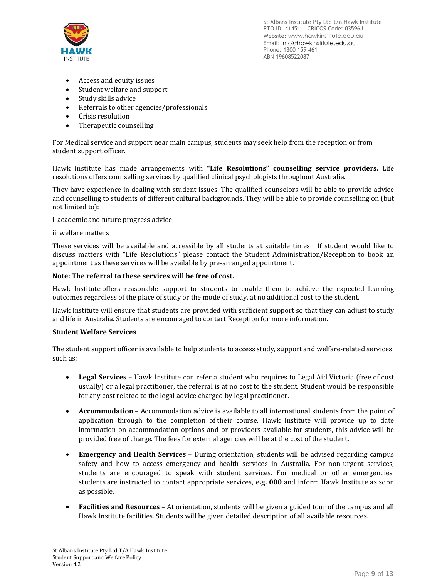

- Access and equity issues
- Student welfare and support
- Study skills advice
- Referrals to other agencies/professionals
- Crisis resolution
- Therapeutic counselling

For Medical service and support near main campus, students may seek help from the reception or from student support officer.

Hawk Institute has made arrangements with **"Life Resolutions" counselling service providers.** Life resolutions offers counselling services by qualified clinical psychologists throughout Australia.

They have experience in dealing with student issues. The qualified counselors will be able to provide advice and counselling to students of different cultural backgrounds. They will be able to provide counselling on (but not limited to):

i. academic and future progress advice

#### ii. welfare matters

These services will be available and accessible by all students at suitable times. If student would like to discuss matters with "Life Resolutions" please contact the Student Administration/Reception to book an appointment as these services will be available by pre-arranged appointment.

#### **Note: The referral to these services will be free of cost.**

Hawk Institute offers reasonable support to students to enable them to achieve the expected learning outcomes regardless of the place of study or the mode of study, at no additional cost to the student.

Hawk Institute will ensure that students are provided with sufficient support so that they can adjust to study and life in Australia. Students are encouraged to contact Reception for more information.

#### **Student Welfare Services**

The student support officer is available to help students to access study, support and welfare-related services such as;

- **Legal Services** Hawk Institute can refer a student who requires to Legal Aid Victoria (free of cost usually) or a legal practitioner, the referral is at no cost to the student. Student would be responsible for any cost related to the legal advice charged by legal practitioner.
- **Accommodation** Accommodation advice is available to all international students from the point of application through to the completion of their course. Hawk Institute will provide up to date information on accommodation options and or providers available for students, this advice will be provided free of charge. The fees for external agencies will be at the cost of the student.
- **Emergency and Health Services** During orientation, students will be advised regarding campus safety and how to access emergency and health services in Australia. For non-urgent services, students are encouraged to speak with student services. For medical or other emergencies, students are instructed to contact appropriate services, **e.g. 000** and inform Hawk Institute as soon as possible.
- **Facilities and Resources** At orientation, students will be given a guided tour of the campus and all Hawk Institute facilities. Students will be given detailed description of all available resources.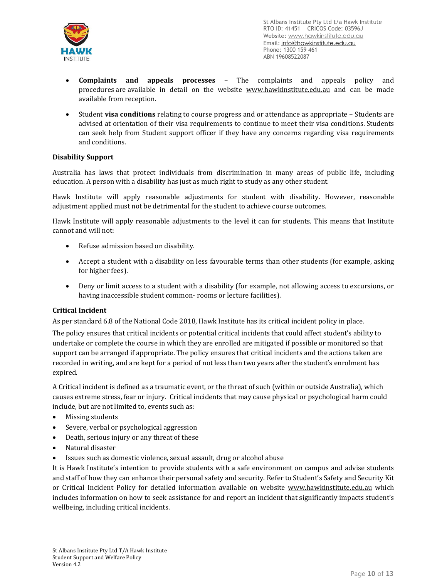

- **Complaints and appeals processes** The complaints and appeals policy and procedures are available in detail on the website [www.hawkinstitute.edu.au](http://www.asoc.edu.au/) and can be made available from reception.
- Student **visa conditions** relating to course progress and or attendance as appropriate Students are advised at orientation of their visa requirements to continue to meet their visa conditions. Students can seek help from Student support officer if they have any concerns regarding visa requirements and conditions.

## **Disability Support**

Australia has laws that protect individuals from discrimination in many areas of public life, including education. A person with a disability has just as much right to study as any other student.

Hawk Institute will apply reasonable adjustments for student with disability. However, reasonable adjustment applied must not be detrimental for the student to achieve course outcomes.

Hawk Institute will apply reasonable adjustments to the level it can for students. This means that Institute cannot and will not:

- Refuse admission based on disability.
- Accept a student with a disability on less favourable terms than other students (for example, asking for higher fees).
- Deny or limit access to a student with a disability (for example, not allowing access to excursions, or having inaccessible student common- rooms or lecture facilities).

#### **Critical Incident**

As per standard 6.8 of the National Code 2018, Hawk Institute has its critical incident policy in place.

The policy ensures that critical incidents or potential critical incidents that could affect student's ability to undertake or complete the course in which they are enrolled are mitigated if possible or monitored so that support can be arranged if appropriate. The policy ensures that critical incidents and the actions taken are recorded in writing, and are kept for a period of not less than two years after the student's enrolment has expired.

A Critical incident is defined as a traumatic event, or the threat of such (within or outside Australia), which causes extreme stress, fear or injury. Critical incidents that may cause physical or psychological harm could include, but are not limited to, events such as:

- Missing students
- Severe, verbal or psychological aggression
- Death, serious injury or any threat of these
- Natural disaster
- Issues such as domestic violence, sexual assault, drug or alcohol abuse

It is Hawk Institute's intention to provide students with a safe environment on campus and advise students and staff of how they can enhance their personal safety and security. Refer to Student's Safety and Security Kit or Critical Incident Policy for detailed information available on website [www.hawkinstitute.edu.au](http://www.tedi.vic.edu.au/) which includes information on how to seek assistance for and report an incident that significantly impacts student's wellbeing, including critical incidents.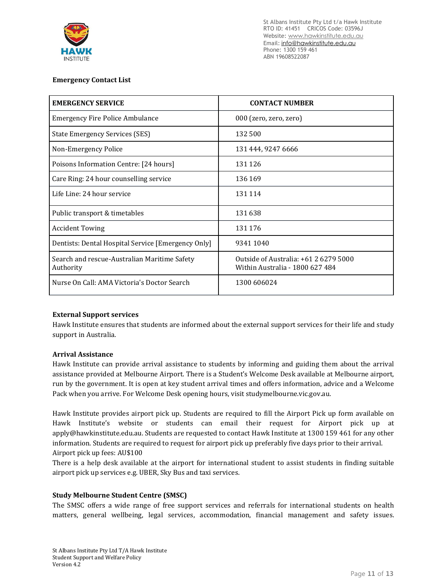

## **Emergency Contact List**

| <b>EMERGENCY SERVICE</b>                                  | <b>CONTACT NUMBER</b>                                                    |  |
|-----------------------------------------------------------|--------------------------------------------------------------------------|--|
| <b>Emergency Fire Police Ambulance</b>                    | 000 (zero, zero, zero)                                                   |  |
| <b>State Emergency Services (SES)</b>                     | 132 500                                                                  |  |
| Non-Emergency Police                                      | 131 444, 9247 6666                                                       |  |
| Poisons Information Centre: [24 hours]                    | 131 126                                                                  |  |
| Care Ring: 24 hour counselling service                    | 136 169                                                                  |  |
| Life Line: 24 hour service                                | 131 114                                                                  |  |
| Public transport & timetables                             | 131638                                                                   |  |
| <b>Accident Towing</b>                                    | 131 176                                                                  |  |
| Dentists: Dental Hospital Service [Emergency Only]        | 9341 1040                                                                |  |
| Search and rescue-Australian Maritime Safety<br>Authority | Outside of Australia: +61 2 6279 5000<br>Within Australia - 1800 627 484 |  |
| Nurse On Call: AMA Victoria's Doctor Search               | 1300 606024                                                              |  |

#### **External Support services**

Hawk Institute ensures that students are informed about the external support services for their life and study support in Australia.

#### **Arrival Assistance**

Hawk Institute can provide arrival assistance to students by informing and guiding them about the arrival assistance provided at Melbourne Airport. There is a Student's Welcome Desk available at Melbourne airport, run by the government. It is open at key student arrival times and offers information, advice and a Welcome Pack when you arrive. For Welcome Desk opening hours, visit studymelbourne.vic.gov.au.

Hawk Institute provides airport pick up. Students are required to fill the Airport Pick up form available on Hawk Institute's website or students can email their request for Airport pick up at apply@hawkinstitute.edu.au. Students are requested to contact Hawk Institute at 1300 159 461 for any other information. Students are required to request for airport pick up preferably five days prior to their arrival. Airport pick up fees: AU\$100

There is a help desk available at the airport for international student to assist students in finding suitable airport pick up services e.g. UBER, Sky Bus and taxi services.

#### **Study Melbourne Student Centre (SMSC)**

The SMSC offers a wide range of free support services and referrals for international students on health matters, general wellbeing, legal services, accommodation, financial management and safety issues.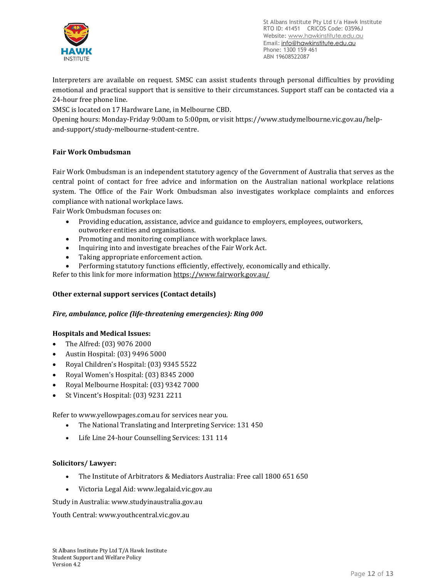

Interpreters are available on request. SMSC can assist students through personal difficulties by providing emotional and practical support that is sensitive to their circumstances. Support staff can be contacted via a 24-hour free phone line.

SMSC is located on 17 Hardware Lane, in Melbourne CBD.

Opening hours: Monday-Friday 9:00am to 5:00pm, or visit [https://www.studymelbourne.vic.gov.au/help](https://www.studymelbourne.vic.gov.au/help-and-support/study-melbourne-student-centre)[and-support/study-melbourne-student-centre.](https://www.studymelbourne.vic.gov.au/help-and-support/study-melbourne-student-centre)

# **Fair Work Ombudsman**

Fair Work Ombudsman is an independent statutory agency of the Government of Australia that serves as the central point of contact for free advice and information on the Australian national workplace relations system. The Office of the Fair Work Ombudsman also investigates workplace complaints and enforces compliance with national workplace laws.

Fair Work Ombudsman focuses on:

- Providing education, assistance, advice and guidance to employers, employees, outworkers, outworker entities and organisations.
- Promoting and monitoring compliance with workplace laws.
- Inquiring into and investigate breaches of the Fair Work Act.
- Taking appropriate enforcement action.
- Performing statutory functions efficiently, effectively, economically and ethically.

Refer to this link for more information <https://www.fairwork.gov.au/>

#### **Other external support services (Contact details)**

#### *Fire, ambulance, police (life-threatening emergencies): Ring 000*

#### **Hospitals and Medical Issues:**

- The Alfred: (03) 9076 2000
- Austin Hospital: (03) 9496 5000
- Royal Children's Hospital: (03) 9345 5522
- Royal Women's Hospital: (03) 8345 2000
- Royal Melbourne Hospital: (03) 9342 7000
- St Vincent's Hospital: (03) 9231 2211

Refer to [www.yellowpages.com.au](http://www.yellowpages.com.au/) for services near you.

- The National Translating and Interpreting Service: 131 450
- Life Line 24-hour Counselling Services: 131 114

#### **Solicitors/ Lawyer:**

- The Institute of Arbitrators & Mediators Australia: Free call 1800 651 650
- Victoria Legal Aid: www.legalaid.vic.gov.au

Study in Australia: www.studyinaustralia.gov.au

Youth Central: www.youthcentral.vic.gov.au